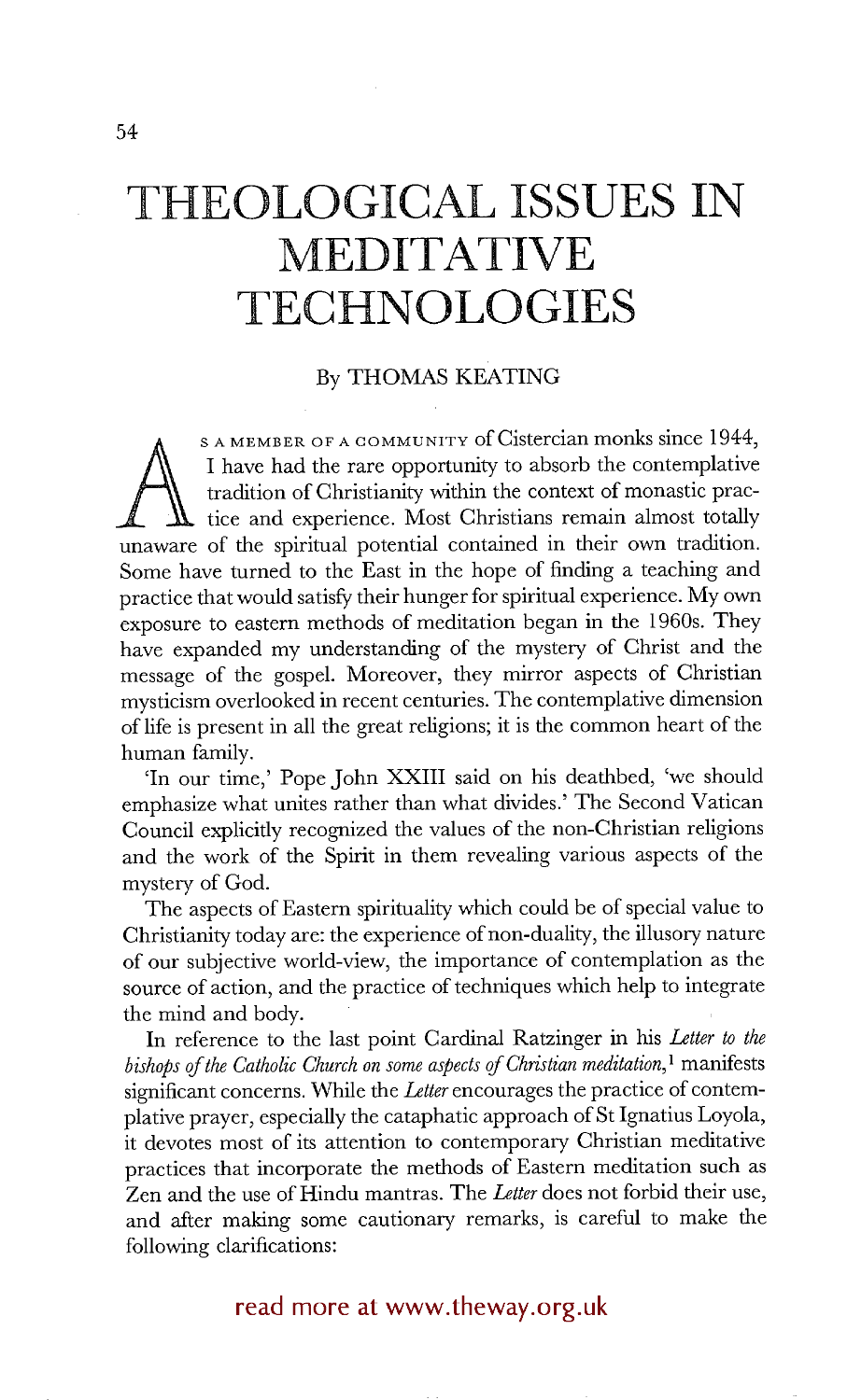# **THEOLOGICAL ISSUES IN MEDITATIVE TECHNOLOGIES**

### By THOMAS KEATING

I have had the rare opportunity to absorb the contemplative tradition of Christianity within the context of monastic practice and experience. Most Christians remain almost totally unaware of the spiritual potential contain S A MEMBER OF A COMMUNITY of Cistercian monks since 1944, I have had the rare opportunity to absorb the contemplative tradition of Christianity within the context of monastic prac- $\overline{\mathbf{t}}$  tice and experience. Most Christians remain almost totally Some have turned to the East in the hope of finding a teaching and practice that would satisfy their hunger for spiritual experience. My own exposure to eastern methods of meditation began in the 1960s. They have expanded my understanding of the mystery of Christ and the message of the gospel. Moreover, they mirror aspects of Christian mysticism overlooked in recent centuries. The contemplative dimension of life is present in all the great religions; it is the common heart of the human family.

'In our time,' Pope John XXIII said on his deathbed, 'we should emphasize what unites rather than what divides.' The Second Vatican Council explicitly recognized the values of the non-Christian religions and the work of the Spirit in them revealing various aspects of the mystery of God.

The aspects of Eastern spirituality which could be of special value to Christianity today are: the experience of non-duality, the illusory nature of our subjective world-view, the importance of contemplation as the source of action, and the practice of techniques which help to integrate the mind and body.

In reference to the last point Cardinal Ratzinger in his *Letter to the bishops of the Catholic Church on some aspects of Christian meditation*,<sup>1</sup> manifests significant concerns. While the *Letter* encourages the practice of contemplative prayer, especially the cataphatic approach of St Ignatius Loyola, it devotes most of its attention to contemporary Christian meditative practices that incorporate the methods of Eastern meditation such as Zen and the use of Hindu mantras. The *Letter* does not forbid their use, and after making some cautionary remarks, is careful to make the following clarifications:

## read more at www.theway.org.uk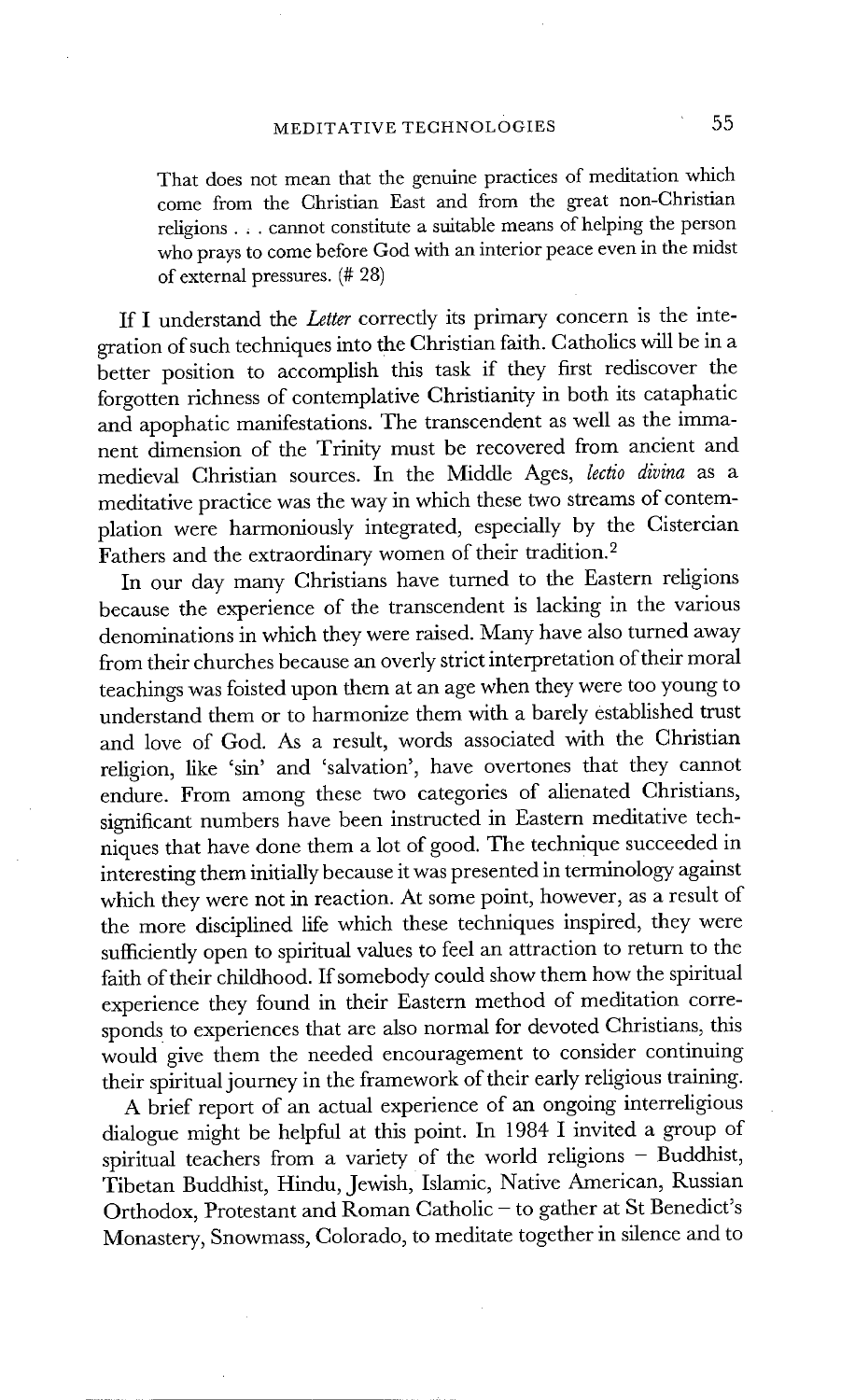That does not mean that the genuine practices of meditation which come from the Christian East and from the great non-Christian religions. , . cannot constitute a suitable means of helping the person who prays to come before God with an interior peace even in the midst of external pressures. (# 28)

If I understand the *Letter* correctly its primary concern is the integration of such techniques into the Christian faith. Catholics will be in a better position to accomplish this task if they first rediscover the forgotten richness of contemplative Christianity in both its cataphatic and apophatic manifestations. The transcendent as well as the immanent dimension of the Trinity must be recovered from ancient and medieval Christian sources. In the Middle Ages, *lectio divina* as a meditative practice was the way in which these two streams of contemplation were harmoniously integrated, especially by the Cistercian Fathers and the extraordinary women of their tradition.<sup>2</sup>

In our day many Christians have turned to the Eastern religions because the experience of the transcendent is lacking in the various denominations in which they were raised. Many have also turned away from their churches because an overly strict interpretation of their moral teachings was foisted upon them at an age when they were too young to understand them or to harmonize them with a barely established trust and love of God. As a result, words associated with the Christian religion, like 'sin' and 'salvation', have overtones that they cannot endure. From among these two categories of alienated Christians, significant numbers have been instructed in Eastern meditative techniques that have done them a lot of good. The technique succeeded in interesting them initially because it was presented in terminology against which they were not in reaction. At some point, however, as a result of the more disciplined life which these techniques inspired, they were sufficiently open to spiritual values to feel an attraction to return to the faith of their childhood. If somebody could show them how the spiritual experience they found in their Eastern method of meditation corresponds to experiences that are also normal for devoted Christians, this would give them the needed encouragement to consider continuing their spiritual journey in the framework of their early religious training.

A brief report of an actual experience of an ongoing interreligious dialogue might be helpful at this point. In 1984 I invited a group of spiritual teachers from a variety of the world religions - Buddhist, Tibetan Buddhist, Hindu, Jewish, Islamic, Native American, Russian Orthodox, Protestant and Roman Catholic - to gather at St Benedict's Monastery, Snowmass, Colorado, to meditate together in silence and to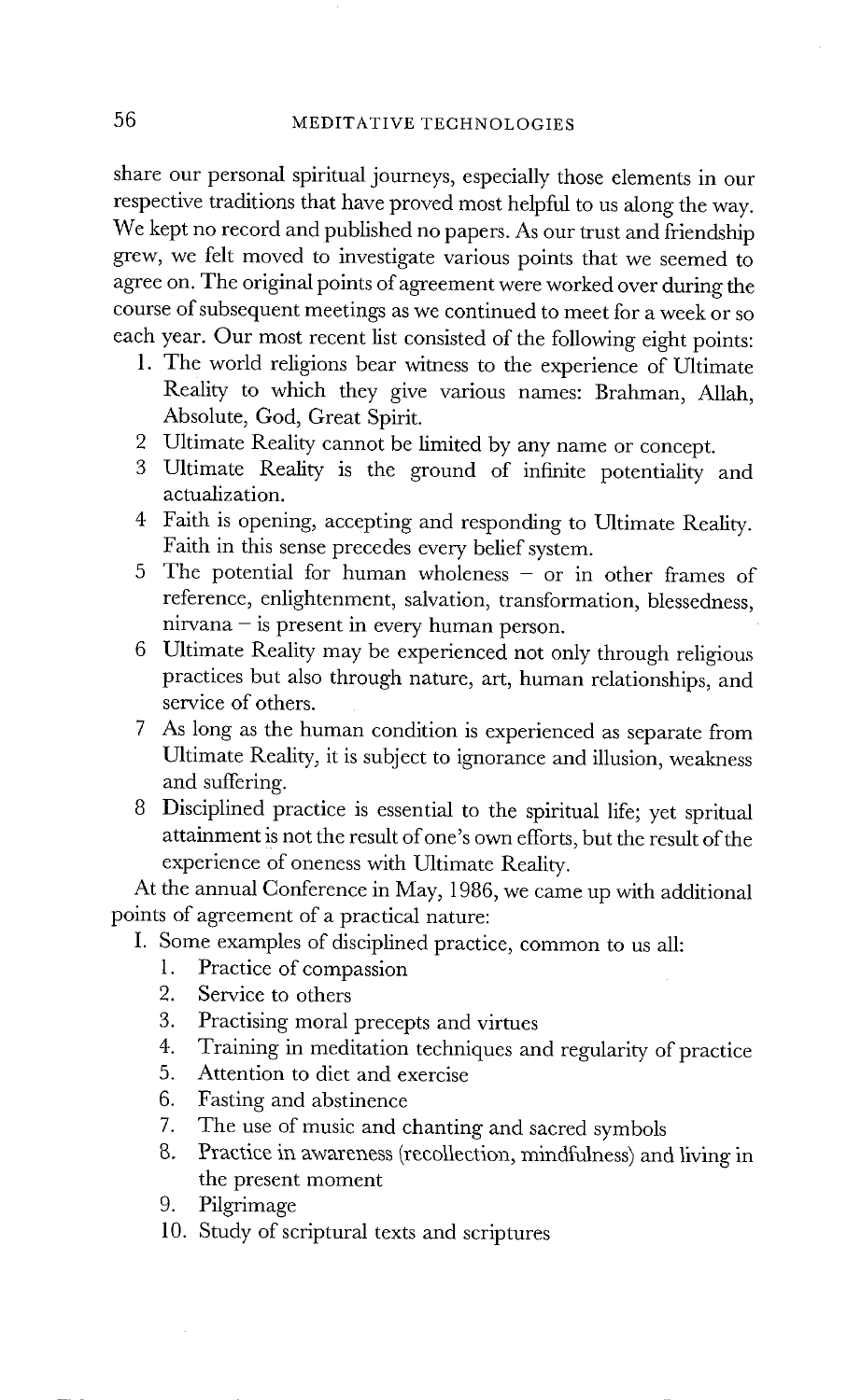share our personal spiritual journeys, especially those elements in our respective traditions that have proved most helpful to us along the way. We kept no record and published no papers. As our trust and friendship grew, we felt moved to investigate various points that we seemed to agree on. The original points of agreement were worked over during the course of subsequent meetings as we continued to meet for a week or so each year. Our most recent list consisted of the following eight points:

- 1. The world religions bear witness to the experience of Ultimate Reality to which they give various names: Brahman, Allah, Absolute, God, Great Spirit.
- 2 Ultimate Reality cannot be limited by any name or concept.
- 3 Ultimate Reality is the ground of infinite potentiality and actualization.
- 4 Faith is opening, accepting and responding to Ultimate Reality. Faith in this sense precedes every belief system.
- 5 The potential for human wholeness or in other frames of reference, enlightenment, salvation, transformation, blessedness,  $nirvana - is present in every human person.$
- 6 Ultimate Reality may be experienced not only through religious practices but also through nature, art, human relationships, and service of others.
- 7 As long as the human condition is experienced as separate from Ultimate Reality, it is subject to ignorance and illusion, weakness and suffering.
- 8 Disciplined practice is essential to the spiritual life; yet spritual attainment is not the result of one's own efforts, but the result of the experience of oneness with Ultimate Reality.

At the annual Conference in May, 1986, we came up with additional points of agreement of a practical nature:

- I. Some examples of disciplined practice, common to us all:
	- 1. Practice of compassion
	- 2. Service to others
	- 3. Practising moral precepts and virtues
	- 4. Training in meditation techniques and regularity of practice
	- 5. Attention to diet and exercise
	- 6. Fasting and abstinence
	- 7. The use of music and chanting and sacred symbols
	- g. Practice in awareness (recollection, mindfulness) and living in the present moment
	- 9. Pilgrimage
	- 10. Study of scriptural texts and scriptures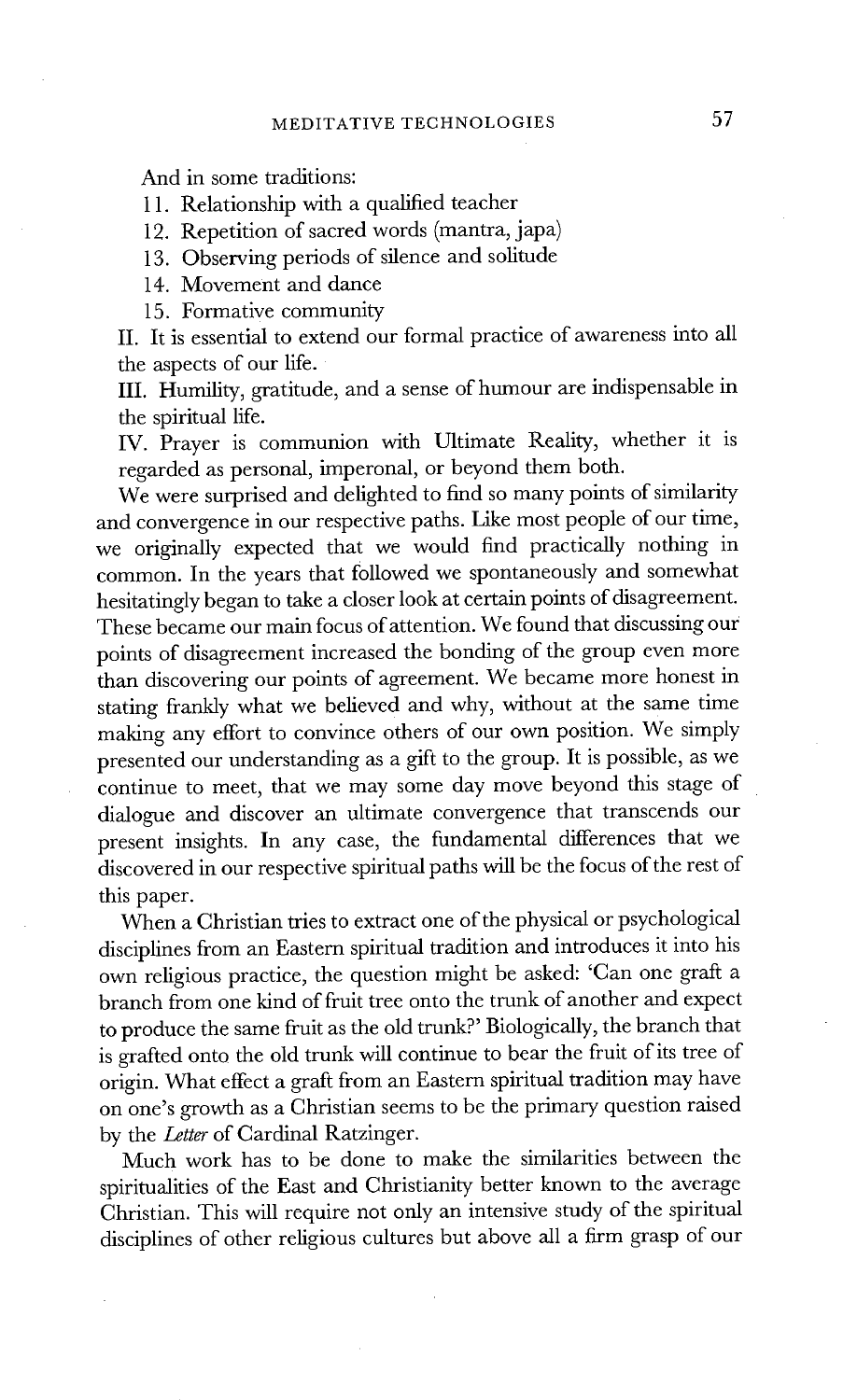And in some traditions:

11. Relationship with a qualified teacher

12. Repetition of sacred words (mantra, japa)

13. Observing periods of silence and solitude

14. Movement and dance

15. Formative community

II. It is essential to extend our formal practice of awareness into all the aspects of our life.

III. Humility, gratitude, and a sense of humour are indispensable in the spiritual life.

IV. Prayer is communion with Ultimate Reality, whether it is regarded as personal, imperonal, or beyond them both.

We were surprised and delighted to find so many points of similarity and convergence in our respective paths. Like most people of our time, we originally expected that we would find practically nothing in common. In the years that followed we spontaneously and somewhat hesitatingly began to take a closer look at certain points of disagreement. These became our main focus of attention. We found that discussing our points of disagreement increased the bonding of the group even more than discovering our points of agreement. We became more honest in stating frankly what we believed and why, without at the same time making any effort to convince others of our own position. We simply presented our understanding as a gift to the group. It is possible, as we continue to meet, that we may some day move beyond this stage of dialogue and discover an ultimate convergence that transcends our present insights. In any case, the fundamental differences that we discovered in our respective spiritual paths will be the focus of the rest of this paper.

When a Christian tries to extract one of the physical or psychological disciplines from an Eastern spiritual tradition and introduces it into his own religious practice, the question might be asked: 'Can one graft a branch from one kind of fruit tree onto the trunk of another and expect to produce the same fruit as the old trunk?' Biologically, the branch that is grafted onto the old trunk will continue to bear the fruit of its tree of origin. What effect a graft from an Eastern spiritual tradition may have on one's growth as a Christian seems to be the primary question raised by the *Letter* of Cardinal Ratzinger.

Much work has to be done to make the similarities between the spiritualities of the East and Christianity better known to the average Christian. This will require not only an intensive study of the spiritual disciplines of other religious cultures but above all a firm grasp of our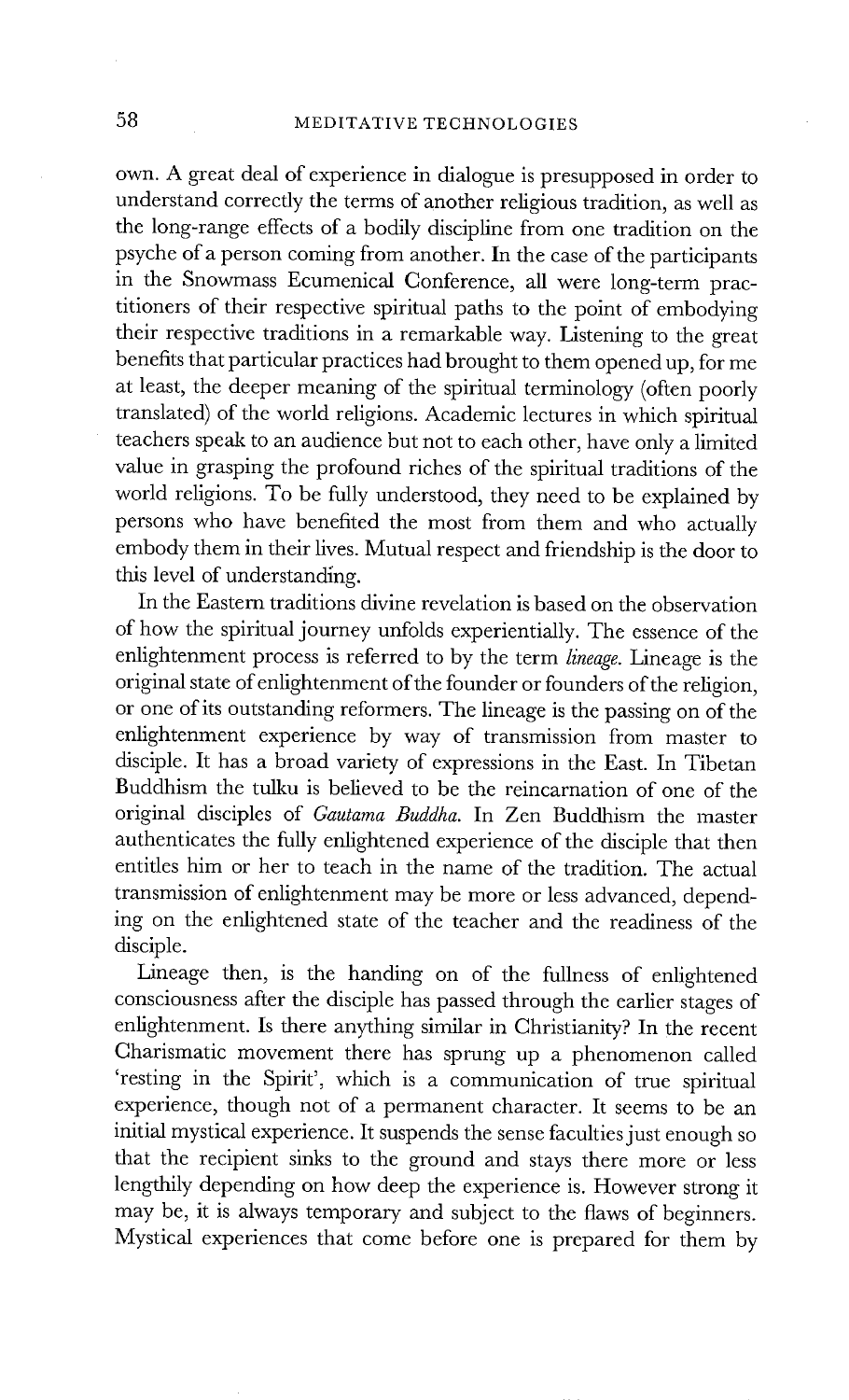own. A great deal of experience in dialogue is presupposed in order to understand correctly the terms of another religious tradition, as well as the long-range effects of a bodily discipline from one tradition on the psyche of a person coming from another. In the case of the participants in the Snowmass Ecumenical Conference, all were long-term practitioners of their respective spiritual paths to the point of embodying their respective traditions in a remarkable way. Listening to the great benefits that particular practices had brought to them opened up, for me at least, the deeper meaning of the spiritual terminology (often poorly translated) of the world religions. Academic lectures in which spiritual teachers speak to an audience but not to each other, have only a limited value in grasping the profound riches of the spiritual traditions of the world religions. To be fully understood, they need to be explained by persons who have benefited the most from them and who actually embody them in their lives. Mutual respect and friendship is the door to this level of understanding.

In the Eastern traditions divine revelation is based on the observation of how the spiritual journey unfolds experientially. The essence of the enlightenment process is referred to by the term *lineage.* Lineage is the original state of enlightenment of the founder or founders of the religion, or one of its outstanding reformers. The lineage is the passing on of the enlightenment experience by way of transmission from master to disciple. It has a broad variety of expressions in the East. In Tibetan Buddhism the tulku is believed to be the reincarnation of one of the original disciples of *Gautama Buddha.* In Zen Buddhism the master authenticates the fully enlightened experience of the disciple that then entitles him or her to teach in the name of the tradition. The actual transmission of enlightenment may be more or less advanced, depending on the enlightened state of the teacher and the readiness of the disciple.

Lineage then, is the handing on of the fullness of enlightened consciousness after the disciple has passed through the earlier stages of enlightenment. Is there anything similar in Christianity? In the recent Charismatic movement there has sprung up a phenomenon called 'resting in the Spirit', which is a communication of true spiritual experience, though not of a permanent character. It seems to be an initial mystical experience. It suspends the sense faculties just enough so that the recipient sinks to the ground and stays there more or less lengthily depending on how deep the experience is. However strong it may be, it is always temporary and subject to the flaws of beginners. Mystical experiences that come before one is prepared for them by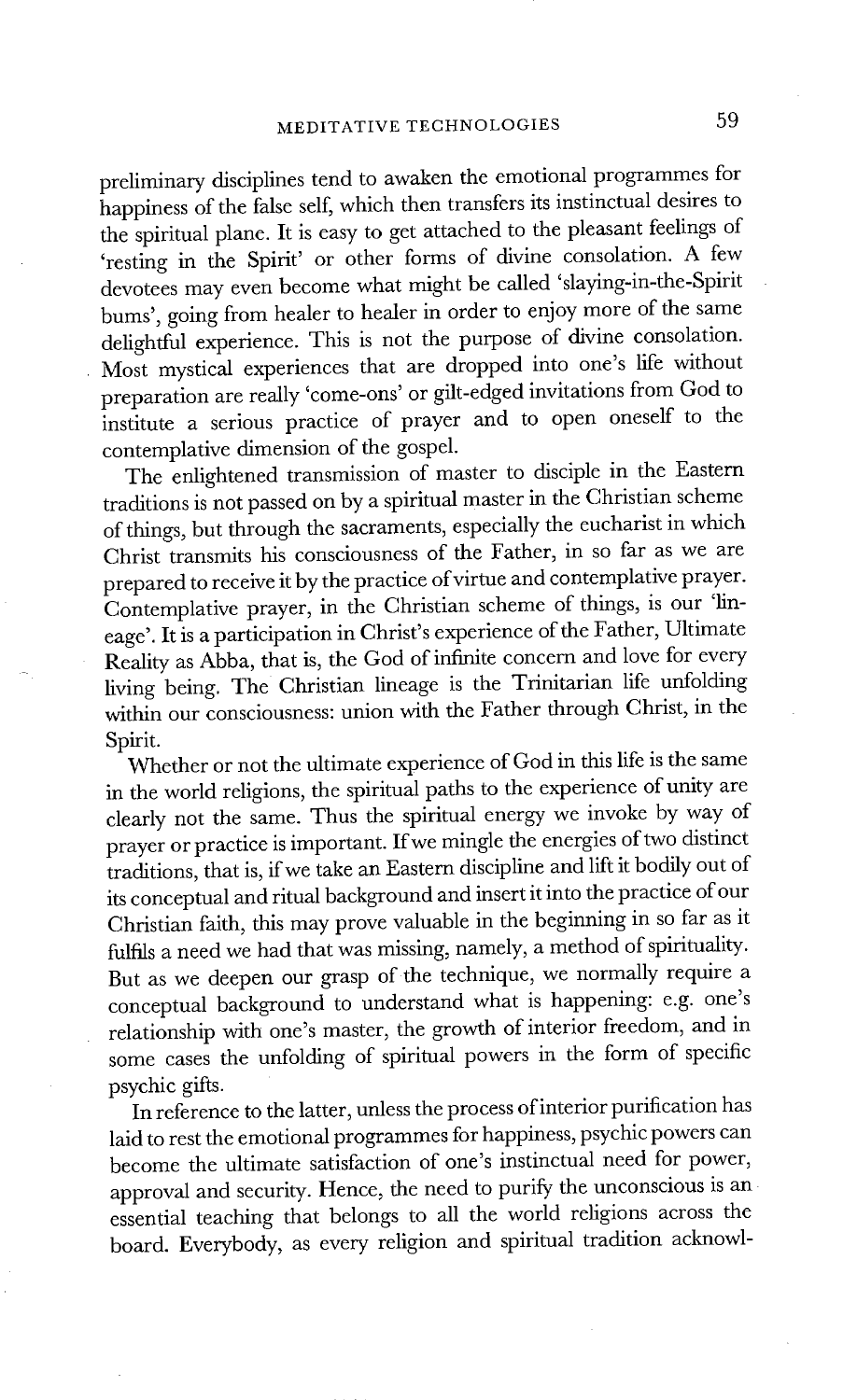preliminary disciplines tend to awaken the emotional programmes for happiness of the false self, which then transfers its instinctual desires to the spiritual plane. It is easy to get attached to the pleasant feelings of 'resting in the Spirit' or other forms of divine consolation. A few devotees may even become what might be called 'slaying-in-the-Spirit bums', going from healer to healer in order to enjoy more of the same delightful experience. This is not the purpose of divine consolation. Most mystical experiences that are dropped into one's life without preparation are really 'come-ons' or gilt-edged invitations from God to institute a serious practice of prayer and to open oneself to the contemplative dimension of the gospel.

The enlightened transmission of master to disciple in the Eastern traditions is not passed on by a spiritual master in the Christian scheme of things, but through the sacraments, especially the eucharist in which Christ transmits his consciousness of the Father, in so far as we are prepared to receive it by the practice of virtue and contemplative prayer. Contemplative prayer, in the Christian scheme of things, is our 'lineage'. It is a participation in Christ's experience of the Father, Ultimate Reality as Abba, that is, the God of infinite concern and love for every living being. The Christian lineage is the Trinitarian life unfolding within our consciousness: union with the Father through Christ, in the Spirit.

Whether or not the ultimate experience of God in this life is the same in the world religions, the spiritual paths to the experience of unity are clearly not the same. Thus the spiritual energy we invoke by way of prayer or practice is important. If we mingle the energies of two distinct traditions, that is, if we take an Eastern discipline and lift it bodily out of its conceptual and ritual background and insert it into the practice of our Christian faith, this may prove valuable in the beginning in so far as it fulfils a need we had that was missing, namely, a method of spirituality. But as we deepen our grasp of the technique, we normally require a conceptual background to understand what is happening: e.g. one's relationship with one's master, the growth of interior freedom, and in some cases the unfolding of spiritual powers in the form of specific psychic gifts.

In reference to the latter, unless the process of interior purification has laid to rest the emotional programmes for happiness, psychic powers can become the ultimate satisfaction of one's instinctual need for power, approval and security. Hence, the need to purify the unconscious is an essential teaching that belongs to all the world religions across the board. Everybody, as every religion and spiritual tradition acknowl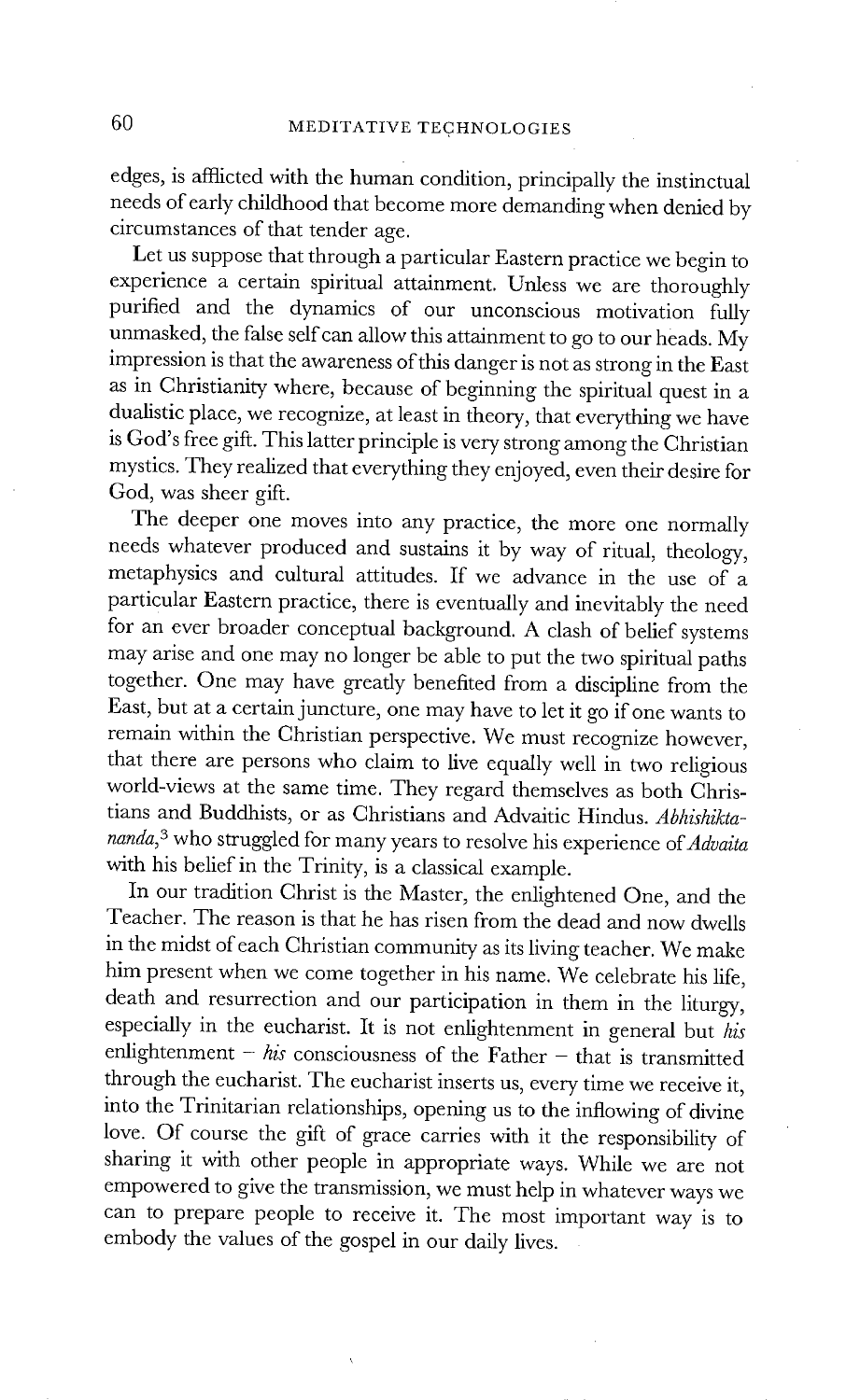edges, is afflicted with the human condition, principally the instinctual needs of early childhood that become more demanding when denied by circumstances of that tender age.

Let us suppose that through a particular Eastern practice we begin to experience a certain spiritual attainment. Unless we are thoroughly purified and the dynamics of our unconscious motivation fully unmasked, the false self can allow this attainment to go to our heads. My impression is that the awareness of this danger is not as strong in the East as in Christianity where, because of beginning the spiritual quest in a dualistic place, we recognize, at least in theory, that everything we have is God's free gift. This latter principle is very strong among the Christian mystics. They realized that everything they enjoyed, even their desire for God, was sheer gift.

The deeper one moves into any practice, the more one normally needs whatever produced and sustains it by way of ritual, theology, metaphysics and cultural attitudes. If we advance in the use of a particular Eastern practice, there is eventually and inevitably the need for an ever broader conceptual background. A clash of belief systems may arise and one may no longer be able to put the two spiritual paths together. One may have greatly benefited from a discipline from the East, but at a certain juncture, one may have to let it go if one wants to remain within the Christian perspective. We must recognize however, that there are persons who claim to live equally well in two religious world-views at the same time. They regard themselves as both Christians and Buddhists, or as Christians and Advaitic Hindus. *Abhishiktananda, 3* who struggled for many years to resolve his experience *of Advaita*  with his belief in the Trinity, is a classical example.

In our tradition Christ is the Master, the enlightened One, and the Teacher. The reason is that he has risen from the dead and now dwells in the midst of each Christian community as its living teacher. We make him present when we come together in his name. We celebrate his life, death and resurrection and our participation in them in the liturgy, especially in the eucharist. It is not enlightenment in general but *his*  enlightenment -  $his$  consciousness of the Father - that is transmitted through the eucharist. The eucharist inserts us, every time we receive it, into the Trinitarian relationships, opening us to the inflowing of divine love. Of course the gift of grace carries with it the responsibility of sharing it with other people in appropriate ways. While we are not empowered to give the transmission, we must help in whatever ways we can to prepare people to receive it. The most important way is to embody the values of the gospel in our daily lives.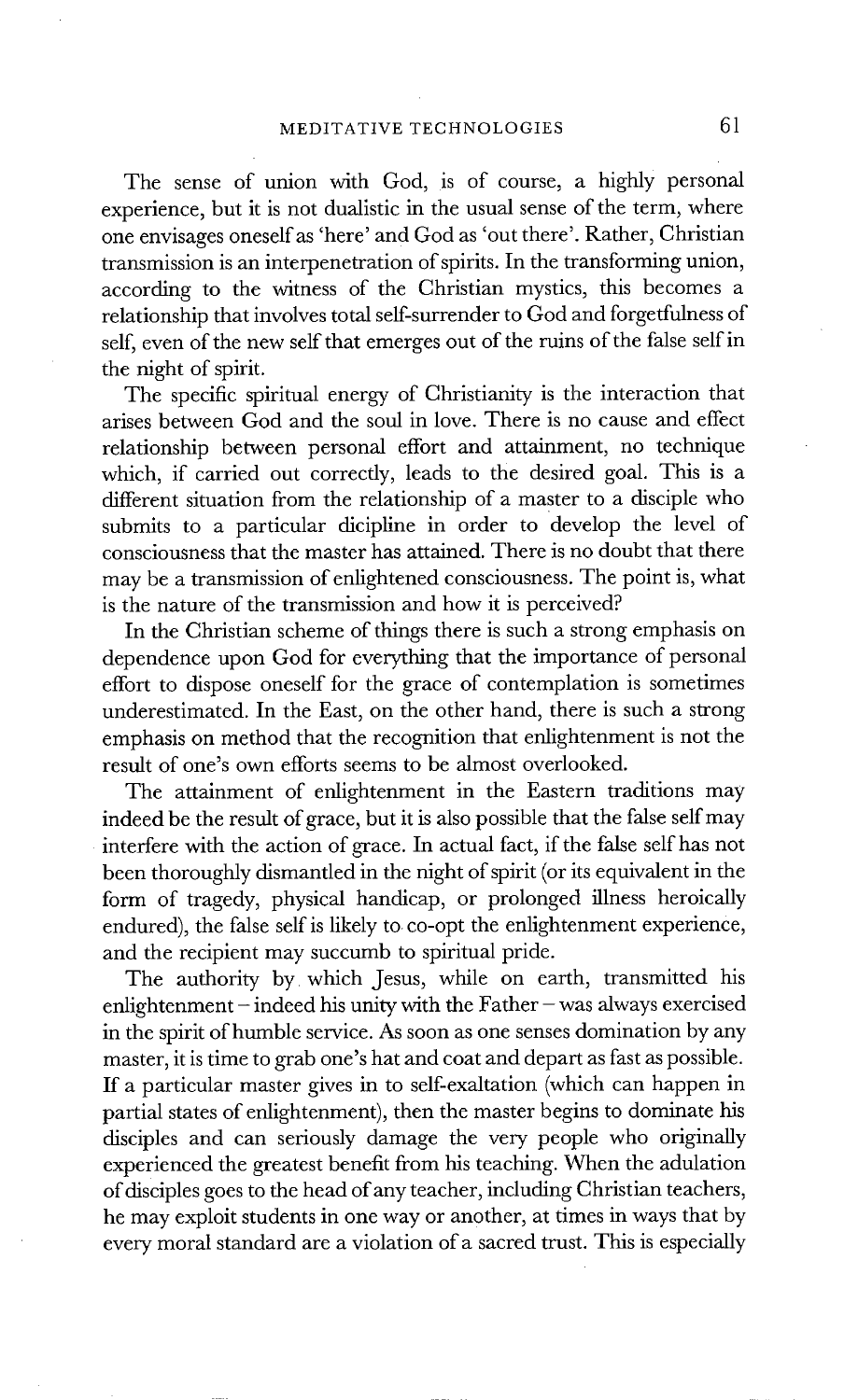The sense of union with God, is of course, a highly personal experience, but it is not dualistic in the usual sense of the term, where one envisages oneself as 'here' and God as 'out there'. Rather, Christian transmission is an interpenetration of spirits. In the transforming union, according to the witness of the Christian mystics, this becomes a relationship that involves total self-surrender to God and forgetfulness of self, even of the new self that emerges out of the ruins of the false self in the night of spirit.

The specific spiritual energy of Christianity is the interaction that arises between God and the soul in love. There is no cause and effect relationship between personal effort and attainment, no technique which, if carried out correctly, leads to the desired goal. This is a different situation from the relationship of a master to a disciple who submits to a particular dicipline in order to develop the level of consciousness that the master has attained. There is no doubt that there may be a transmission of enlightened consciousness. The point is, what is the nature of the transmission and how it is perceived?

In the Christian scheme of things there is such a strong emphasis on dependence upon God for everything that the importance of personal effort to dispose oneself for the grace of contemplation is sometimes underestimated. In the East, on the other hand, there is such a strong emphasis on method that the recognition that enlightenment is not the result of one's own efforts seems to be almost overlooked.

The attainment of enlightenment in the Eastern traditions may indeed be the result of grace, but it is also possible that the false self may interfere with the action of grace. In actual fact, if the false self has not been thoroughly dismantled in the night of spirit (or its equivalent in the form of tragedy, physical handicap, or prolonged illness heroically endured), the false self is likely to co-opt the enlightenment experience, and the recipient may succumb to spiritual pride.

The authority by which Jesus, while on earth, transmitted his enlightenment  $-$  indeed his unity with the Father  $-$  was always exercised in the spirit of humble service. As soon as one senses domination by any master, it is time to grab one's hat and coat and depart as fast as possible. If a particular master gives in to self-exaltation (which can happen in partial states of enlightenment), then the master begins to dominate his disciples and can seriously damage the very people who originally experienced the greatest benefit from his teaching. When the adulation of disciples goes to the head of any teacher, including Christian teachers, he may exploit students in one way or another, at times in ways that by every moral standard are a violation of a sacred trust. This is especially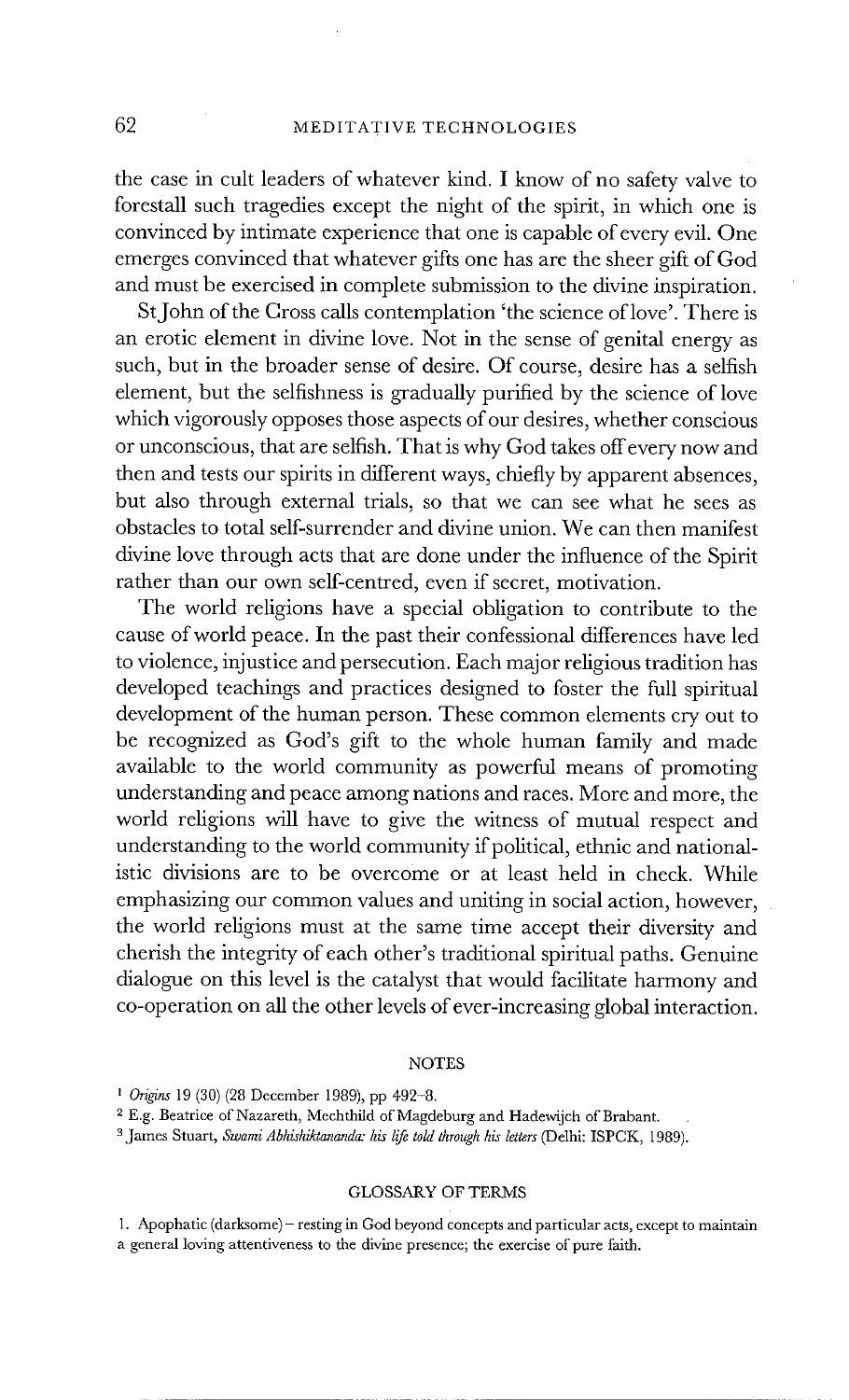the case in cult leaders of whatever kind. I know of no safety valve to forestall such tragedies except the night of the spirit, in which one is convinced by intimate experience that one is capable of every evil. One emerges convinced that whatever gifts one has are the sheer gift of God and must be exercised in complete submission to the divine inspiration.

St John of the Cross calls contemplation 'the science of love'. There is an erotic element in divine love. Not in the sense of genital energy as such, but in the broader sense of desire. Of course, desire has a selfish element, but the selfishness is gradually purified by the science of love which vigorously opposes those aspects of our desires, whether conscious or unconscious, that are selfish. That is why God takes offevery now and then and tests our spirits in different ways, chiefly by apparent absences, but also through external trials, so that we can see what he sees as obstacles to total self-surrender and divine union. We can then manifest divine love through acts that are done under the influence of the Spirit rather than our own self-centred, even if secret, motivation.

The world religions have a special obligation to contribute to the cause of world peace. In the past their confessional differences have led to violence, injustice and persecution. Each major religious tradition has developed teachings and practices designed to foster the full spiritual development of the human person. These common elements cry out to be recognized as God's gift to the whole human family and made available to the world community as powerful means of promoting understanding and peace among nations and races. More and more, the world religions will have to give the witness of mutual respect and understanding to the world community if political, ethnic and nationalistic divisions are to be overcome or at least held in check. While emphasizing our common values and uniting in social action, however, the world religions must at the same time accept their diversity and cherish the integrity of each other's traditional spiritual paths. Genuine dialogue on this level is the catalyst that would facilitate harmony and co-operation on all the other levels of ever-increasing global interaction.

#### **NOTES**

#### GLOSSARY OF TERMS

1. Apophatic (darksome) - resting in God beyond concepts and particular acts, except to maintain a general loving attentiveness to the divine presence; the exercise of pure faith.

*t Origins* 19 (30) (28 December 1989), pp 492-8.

<sup>2</sup> E.g. Beatrice of Nazareth, Mechthild of Magdeburg and Hadewijch of Brabant.

<sup>&</sup>lt;sup>3</sup> James Stuart, *Swami Abhishiktananda: his life told through his letters* (Delhi: ISPCK, 1989).